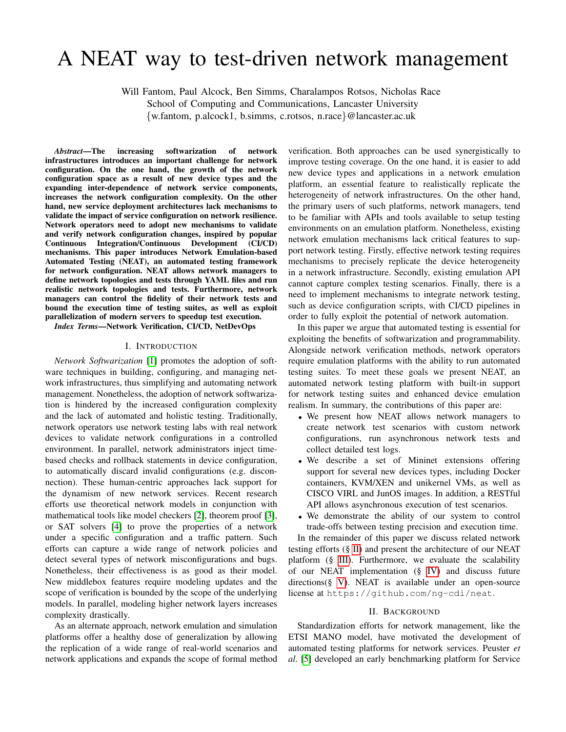# A NEAT way to test-driven network management

Will Fantom, Paul Alcock, Ben Simms, Charalampos Rotsos, Nicholas Race

School of Computing and Communications, Lancaster University

{w.fantom, p.alcock1, b.simms, c.rotsos, n.race}@lancaster.ac.uk

*Abstract*—The increasing softwarization of network infrastructures introduces an important challenge for network configuration. On the one hand, the growth of the network configuration space as a result of new device types and the expanding inter-dependence of network service components, increases the network configuration complexity. On the other hand, new service deployment architectures lack mechanisms to validate the impact of service configuration on network resilience. Network operators need to adopt new mechanisms to validate and verify network configuration changes, inspired by popular Continuous Integration/Continuous Development (CI/CD) mechanisms. This paper introduces Network Emulation-based Automated Testing (NEAT), an automated testing framework for network configuration. NEAT allows network managers to define network topologies and tests through YAML files and run realistic network topologies and tests. Furthermore, network managers can control the fidelity of their network tests and bound the execution time of testing suites, as well as exploit parallelization of modern servers to speedup test execution.

*Index Terms*—Network Verification, CI/CD, NetDevOps

# I. INTRODUCTION

*Network Softwarization* [\[1\]](#page-4-0) promotes the adoption of software techniques in building, configuring, and managing network infrastructures, thus simplifying and automating network management. Nonetheless, the adoption of network softwarization is hindered by the increased configuration complexity and the lack of automated and holistic testing. Traditionally, network operators use network testing labs with real network devices to validate network configurations in a controlled environment. In parallel, network administrators inject timebased checks and rollback statements in device configuration, to automatically discard invalid configurations (e.g. disconnection). These human-centric approaches lack support for the dynamism of new network services. Recent research efforts use theoretical network models in conjunction with mathematical tools like model checkers [\[2\]](#page-4-1), theorem proof [\[3\]](#page-4-2), or SAT solvers [\[4\]](#page-4-3) to prove the properties of a network under a specific configuration and a traffic pattern. Such efforts can capture a wide range of network policies and detect several types of network misconfigurations and bugs. Nonetheless, their effectiveness is as good as their model. New middlebox features require modeling updates and the scope of verification is bounded by the scope of the underlying models. In parallel, modeling higher network layers increases complexity drastically.

As an alternate approach, network emulation and simulation platforms offer a healthy dose of generalization by allowing the replication of a wide range of real-world scenarios and network applications and expands the scope of formal method

verification. Both approaches can be used synergistically to improve testing coverage. On the one hand, it is easier to add new device types and applications in a network emulation platform, an essential feature to realistically replicate the heterogeneity of network infrastructures. On the other hand, the primary users of such platforms, network managers, tend to be familiar with APIs and tools available to setup testing environments on an emulation platform. Nonetheless, existing network emulation mechanisms lack critical features to support network testing. Firstly, effective network testing requires mechanisms to precisely replicate the device heterogeneity in a network infrastructure. Secondly, existing emulation API cannot capture complex testing scenarios. Finally, there is a need to implement mechanisms to integrate network testing, such as device configuration scripts, with CI/CD pipelines in order to fully exploit the potential of network automation.

In this paper we argue that automated testing is essential for exploiting the benefits of softwarization and programmability. Alongside network verification methods, network operators require emulation platforms with the ability to run automated testing suites. To meet these goals we present NEAT, an automated network testing platform with built-in support for network testing suites and enhanced device emulation realism. In summary, the contributions of this paper are:

- We present how NEAT allows network managers to create network test scenarios with custom network configurations, run asynchronous network tests and collect detailed test logs.
- We describe a set of Mininet extensions offering support for several new devices types, including Docker containers, KVM/XEN and unikernel VMs, as well as CISCO VIRL and JunOS images. In addition, a RESTful API allows asynchronous execution of test scenarios.
- We demonstrate the ability of our system to control trade-offs between testing precision and execution time.

In the remainder of this paper we discuss related network testing efforts (§ [II\)](#page-0-0) and present the architecture of our NEAT platform (§ [III\)](#page-1-0). Furthermore, we evaluate the scalability of our NEAT implementation (§ [IV\)](#page-2-0) and discuss future directions(§ [V\)](#page-3-0). NEAT is available under an open-source license at https://github.com/ng-cdi/neat.

### II. BACKGROUND

<span id="page-0-0"></span>Standardization efforts for network management, like the ETSI MANO model, have motivated the development of automated testing platforms for network services. Peuster *et al*. [\[5\]](#page-4-4) developed an early benchmarking platform for Service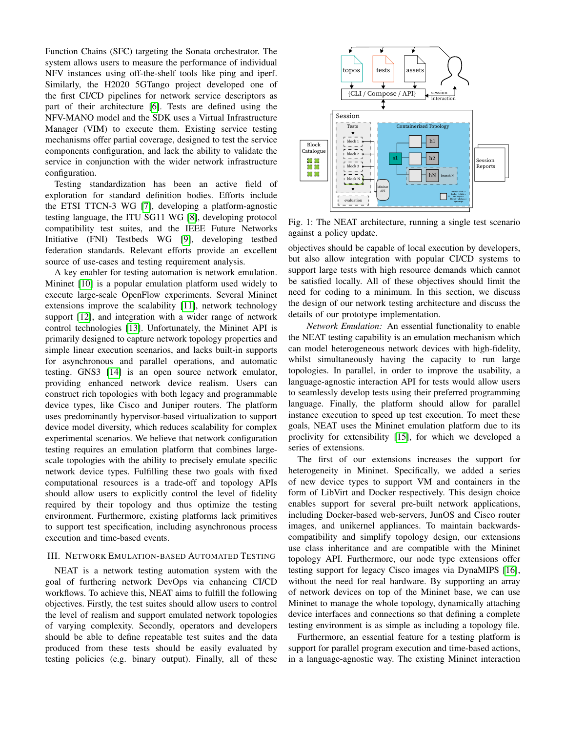Function Chains (SFC) targeting the Sonata orchestrator. The system allows users to measure the performance of individual NFV instances using off-the-shelf tools like ping and iperf. Similarly, the H2020 5GTango project developed one of the first CI/CD pipelines for network service descriptors as part of their architecture [\[6\]](#page-4-5). Tests are defined using the NFV-MANO model and the SDK uses a Virtual Infrastructure Manager (VIM) to execute them. Existing service testing mechanisms offer partial coverage, designed to test the service components configuration, and lack the ability to validate the service in conjunction with the wider network infrastructure configuration.

Testing standardization has been an active field of exploration for standard definition bodies. Efforts include the ETSI TTCN-3 WG [\[7\]](#page-4-6), developing a platform-agnostic testing language, the ITU SG11 WG [\[8\]](#page-4-7), developing protocol compatibility test suites, and the IEEE Future Networks Initiative (FNI) Testbeds WG [\[9\]](#page-4-8), developing testbed federation standards. Relevant efforts provide an excellent source of use-cases and testing requirement analysis.

A key enabler for testing automation is network emulation. Mininet [\[10\]](#page-4-9) is a popular emulation platform used widely to execute large-scale OpenFlow experiments. Several Mininet extensions improve the scalability [\[11\]](#page-4-10), network technology support [\[12\]](#page-4-11), and integration with a wider range of network control technologies [\[13\]](#page-4-12). Unfortunately, the Mininet API is primarily designed to capture network topology properties and simple linear execution scenarios, and lacks built-in supports for asynchronous and parallel operations, and automatic testing. GNS3 [\[14\]](#page-4-13) is an open source network emulator, providing enhanced network device realism. Users can construct rich topologies with both legacy and programmable device types, like Cisco and Juniper routers. The platform uses predominantly hypervisor-based virtualization to support device model diversity, which reduces scalability for complex experimental scenarios. We believe that network configuration testing requires an emulation platform that combines largescale topologies with the ability to precisely emulate specific network device types. Fulfilling these two goals with fixed computational resources is a trade-off and topology APIs should allow users to explicitly control the level of fidelity required by their topology and thus optimize the testing environment. Furthermore, existing platforms lack primitives to support test specification, including asynchronous process execution and time-based events.

# <span id="page-1-0"></span>III. NETWORK EMULATION-BASED AUTOMATED TESTING

NEAT is a network testing automation system with the goal of furthering network DevOps via enhancing CI/CD workflows. To achieve this, NEAT aims to fulfill the following objectives. Firstly, the test suites should allow users to control the level of realism and support emulated network topologies of varying complexity. Secondly, operators and developers should be able to define repeatable test suites and the data produced from these tests should be easily evaluated by testing policies (e.g. binary output). Finally, all of these

<span id="page-1-1"></span>

Fig. 1: The NEAT architecture, running a single test scenario against a policy update.

objectives should be capable of local execution by developers, but also allow integration with popular CI/CD systems to support large tests with high resource demands which cannot be satisfied locally. All of these objectives should limit the need for coding to a minimum. In this section, we discuss the design of our network testing architecture and discuss the details of our prototype implementation.

*Network Emulation:* An essential functionality to enable the NEAT testing capability is an emulation mechanism which can model heterogeneous network devices with high-fidelity, whilst simultaneously having the capacity to run large topologies. In parallel, in order to improve the usability, a language-agnostic interaction API for tests would allow users to seamlessly develop tests using their preferred programming language. Finally, the platform should allow for parallel instance execution to speed up test execution. To meet these goals, NEAT uses the Mininet emulation platform due to its proclivity for extensibility [\[15\]](#page-4-14), for which we developed a series of extensions.

The first of our extensions increases the support for heterogeneity in Mininet. Specifically, we added a series of new device types to support VM and containers in the form of LibVirt and Docker respectively. This design choice enables support for several pre-built network applications, including Docker-based web-servers, JunOS and Cisco router images, and unikernel appliances. To maintain backwardscompatibility and simplify topology design, our extensions use class inheritance and are compatible with the Mininet topology API. Furthermore, our node type extensions offer testing support for legacy Cisco images via DynaMIPS [\[16\]](#page-4-15), without the need for real hardware. By supporting an array of network devices on top of the Mininet base, we can use Mininet to manage the whole topology, dynamically attaching device interfaces and connections so that defining a complete testing environment is as simple as including a topology file.

Furthermore, an essential feature for a testing platform is support for parallel program execution and time-based actions, in a language-agnostic way. The existing Mininet interaction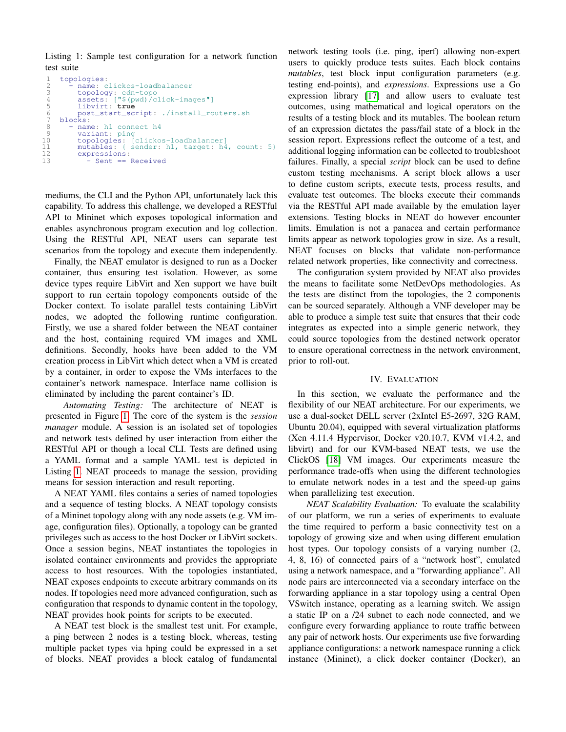<span id="page-2-1"></span>Listing 1: Sample test configuration for a network function test suite

```
1 topologies:
 2 - name: clickos-loadbalancer<br>3 - name: clickos-loadbalancer<br>3 - topology: cdn-topo
  3 topology: cdn-topo
4 assets: ["$(pwd)/click-images"]
5 libvirt: true
  6 post_start_script: ./install_routers.sh
7 blocks:
 8 - name: h1 connect h4<br>9 - variant: ping
9 variant: ping<br>10 topologies: [
10 topologies: [clickos-loadbalancer]
11 mutables: { sender: h1, target: h4, count: 5}
12 expressions:<br>13 - Sent ==
                   Sent == Received
```
mediums, the CLI and the Python API, unfortunately lack this capability. To address this challenge, we developed a RESTful API to Mininet which exposes topological information and enables asynchronous program execution and log collection. Using the RESTful API, NEAT users can separate test scenarios from the topology and execute them independently.

Finally, the NEAT emulator is designed to run as a Docker container, thus ensuring test isolation. However, as some device types require LibVirt and Xen support we have built support to run certain topology components outside of the Docker context. To isolate parallel tests containing LibVirt nodes, we adopted the following runtime configuration. Firstly, we use a shared folder between the NEAT container and the host, containing required VM images and XML definitions. Secondly, hooks have been added to the VM creation process in LibVirt which detect when a VM is created by a container, in order to expose the VMs interfaces to the container's network namespace. Interface name collision is eliminated by including the parent container's ID.

*Automating Testing:* The architecture of NEAT is presented in Figure [1.](#page-1-1) The core of the system is the *session manager* module. A session is an isolated set of topologies and network tests defined by user interaction from either the RESTful API or though a local CLI. Tests are defined using a YAML format and a sample YAML test is depicted in Listing [1.](#page-2-1) NEAT proceeds to manage the session, providing means for session interaction and result reporting.

A NEAT YAML files contains a series of named topologies and a sequence of testing blocks. A NEAT topology consists of a Mininet topology along with any node assets (e.g. VM image, configuration files). Optionally, a topology can be granted privileges such as access to the host Docker or LibVirt sockets. Once a session begins, NEAT instantiates the topologies in isolated container environments and provides the appropriate access to host resources. With the topologies instantiated, NEAT exposes endpoints to execute arbitrary commands on its nodes. If topologies need more advanced configuration, such as configuration that responds to dynamic content in the topology, NEAT provides hook points for scripts to be executed.

A NEAT test block is the smallest test unit. For example, a ping between 2 nodes is a testing block, whereas, testing multiple packet types via hping could be expressed in a set of blocks. NEAT provides a block catalog of fundamental network testing tools (i.e. ping, iperf) allowing non-expert users to quickly produce tests suites. Each block contains *mutables*, test block input configuration parameters (e.g. testing end-points), and *expressions*. Expressions use a Go expression library [\[17\]](#page-4-16) and allow users to evaluate test outcomes, using mathematical and logical operators on the results of a testing block and its mutables. The boolean return of an expression dictates the pass/fail state of a block in the session report. Expressions reflect the outcome of a test, and additional logging information can be collected to troubleshoot failures. Finally, a special *script* block can be used to define custom testing mechanisms. A script block allows a user to define custom scripts, execute tests, process results, and evaluate test outcomes. The blocks execute their commands via the RESTful API made available by the emulation layer extensions. Testing blocks in NEAT do however encounter limits. Emulation is not a panacea and certain performance limits appear as network topologies grow in size. As a result, NEAT focuses on blocks that validate non-performance related network properties, like connectivity and correctness.

The configuration system provided by NEAT also provides the means to facilitate some NetDevOps methodologies. As the tests are distinct from the topologies, the 2 components can be sourced separately. Although a VNF developer may be able to produce a simple test suite that ensures that their code integrates as expected into a simple generic network, they could source topologies from the destined network operator to ensure operational correctness in the network environment, prior to roll-out.

### IV. EVALUATION

<span id="page-2-0"></span>In this section, we evaluate the performance and the flexibility of our NEAT architecture. For our experiments, we use a dual-socket DELL server (2xIntel E5-2697, 32G RAM, Ubuntu 20.04), equipped with several virtualization platforms (Xen 4.11.4 Hypervisor, Docker v20.10.7, KVM v1.4.2, and libvirt) and for our KVM-based NEAT tests, we use the ClickOS [\[18\]](#page-4-17) VM images. Our experiments measure the performance trade-offs when using the different technologies to emulate network nodes in a test and the speed-up gains when parallelizing test execution.

*NEAT Scalability Evaluation:* To evaluate the scalability of our platform, we run a series of experiments to evaluate the time required to perform a basic connectivity test on a topology of growing size and when using different emulation host types. Our topology consists of a varying number (2, 4, 8, 16) of connected pairs of a "network host", emulated using a network namespace, and a "forwarding appliance". All node pairs are interconnected via a secondary interface on the forwarding appliance in a star topology using a central Open VSwitch instance, operating as a learning switch. We assign a static IP on a /24 subnet to each node connected, and we configure every forwarding appliance to route traffic between any pair of network hosts. Our experiments use five forwarding appliance configurations: a network namespace running a click instance (Mininet), a click docker container (Docker), an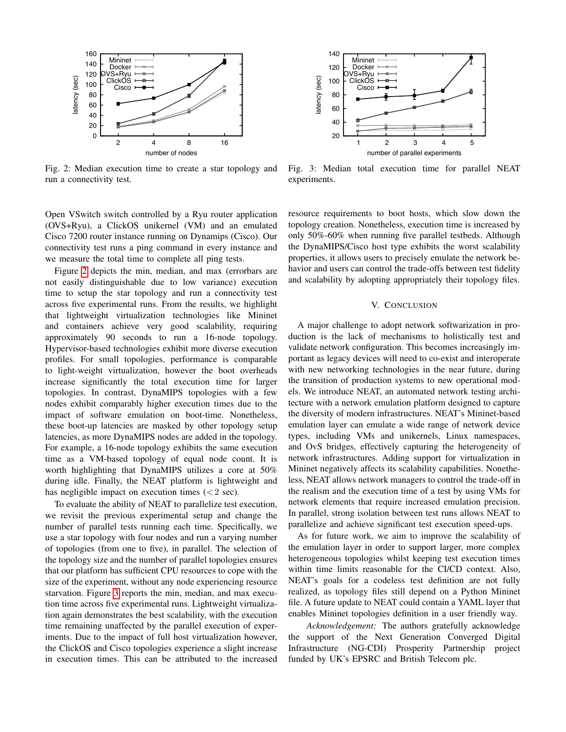<span id="page-3-1"></span>

Fig. 2: Median execution time to create a star topology and run a connectivity test.

Open VSwitch switch controlled by a Ryu router application (OVS+Ryu), a ClickOS unikernel (VM) and an emulated Cisco 7200 router instance running on Dynamips (Cisco). Our connectivity test runs a ping command in every instance and we measure the total time to complete all ping tests.

Figure [2](#page-3-1) depicts the min, median, and max (errorbars are not easily distinguishable due to low variance) execution time to setup the star topology and run a connectivity test across five experimental runs. From the results, we highlight that lightweight virtualization technologies like Mininet and containers achieve very good scalability, requiring approximately 90 seconds to run a 16-node topology. Hypervisor-based technologies exhibit more diverse execution profiles. For small topologies, performance is comparable to light-weight virtualization, however the boot overheads increase significantly the total execution time for larger topologies. In contrast, DynaMIPS topologies with a few nodes exhibit comparably higher execution times due to the impact of software emulation on boot-time. Nonetheless, these boot-up latencies are masked by other topology setup latencies, as more DynaMIPS nodes are added in the topology. For example, a 16-node topology exhibits the same execution time as a VM-based topology of equal node count. It is worth highlighting that DynaMIPS utilizes a core at 50% during idle. Finally, the NEAT platform is lightweight and has negligible impact on execution times  $(< 2 \text{ sec})$ .

To evaluate the ability of NEAT to parallelize test execution, we revisit the previous experimental setup and change the number of parallel tests running each time. Specifically, we use a star topology with four nodes and run a varying number of topologies (from one to five), in parallel. The selection of the topology size and the number of parallel topologies ensures that our platform has sufficient CPU resources to cope with the size of the experiment, without any node experiencing resource starvation. Figure [3](#page-3-2) reports the min, median, and max execution time across five experimental runs. Lightweight virtualization again demonstrates the best scalability, with the execution time remaining unaffected by the parallel execution of experiments. Due to the impact of full host virtualization however, the ClickOS and Cisco topologies experience a slight increase in execution times. This can be attributed to the increased

<span id="page-3-2"></span>

Fig. 3: Median total execution time for parallel NEAT experiments.

resource requirements to boot hosts, which slow down the topology creation. Nonetheless, execution time is increased by only 50%-60% when running five parallel testbeds. Although the DynaMIPS/Cisco host type exhibits the worst scalability properties, it allows users to precisely emulate the network behavior and users can control the trade-offs between test fidelity and scalability by adopting appropriately their topology files.

# V. CONCLUSION

<span id="page-3-0"></span>A major challenge to adopt network softwarization in production is the lack of mechanisms to holistically test and validate network configuration. This becomes increasingly important as legacy devices will need to co-exist and interoperate with new networking technologies in the near future, during the transition of production systems to new operational models. We introduce NEAT, an automated network testing architecture with a network emulation platform designed to capture the diversity of modern infrastructures. NEAT's Mininet-based emulation layer can emulate a wide range of network device types, including VMs and unikernels, Linux namespaces, and OvS bridges, effectively capturing the heterogeneity of network infrastructures. Adding support for virtualization in Mininet negatively affects its scalability capabilities. Nonetheless, NEAT allows network managers to control the trade-off in the realism and the execution time of a test by using VMs for network elements that require increased emulation precision. In parallel, strong isolation between test runs allows NEAT to parallelize and achieve significant test execution speed-ups.

As for future work, we aim to improve the scalability of the emulation layer in order to support larger, more complex heterogeneous topologies whilst keeping test execution times within time limits reasonable for the CI/CD context. Also, NEAT's goals for a codeless test definition are not fully realized, as topology files still depend on a Python Mininet file. A future update to NEAT could contain a YAML layer that enables Mininet topologies definition in a user friendly way.

*Acknowledgement:* The authors gratefully acknowledge the support of the Next Generation Converged Digital Infrastructure (NG-CDI) Prosperity Partnership project funded by UK's EPSRC and British Telecom plc.